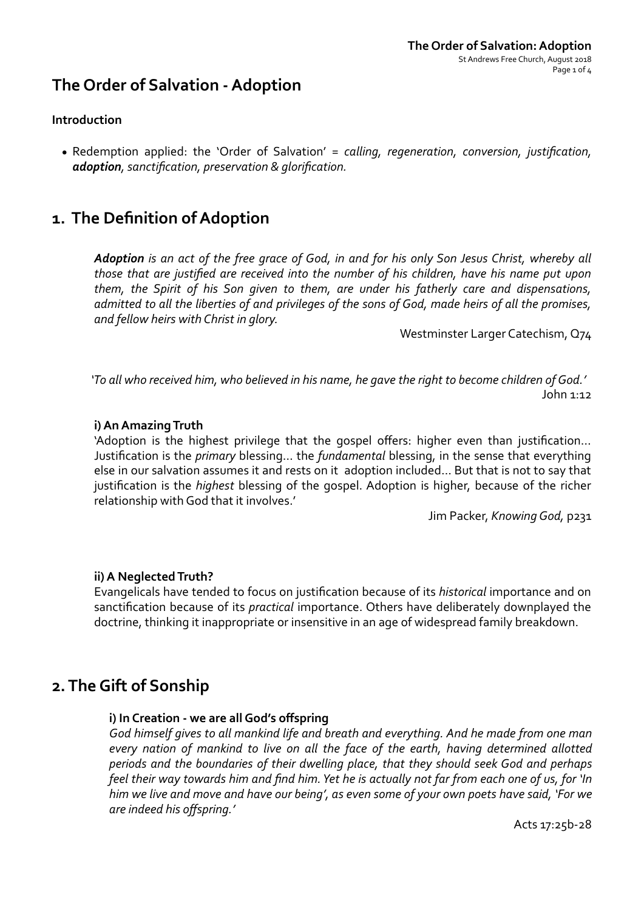# **The Order of Salvation - Adoption**

## **Introduction**

• Redemption applied: the 'Order of Salvation' = calling, regeneration, conversion, justification, *adoption, sanctification, preservation & glorification.*

# **1.** The Definition of Adoption

Adoption is an act of the free grace of God, in and for his only Son Jesus Christ, whereby all *those that are justified are received into the number of his children, have his name put upon them, the Spirit of his Son given to them, are under his fatherly care and dispensations,* admitted to all the liberties of and privileges of the sons of God, made heirs of all the promises, and fellow heirs with Christ in glory.

Westminster Larger Catechism, Q74

'To all who received him, who believed in his name, he gave the right to become children of God.' John  $1:12$ 

### **i) An Amazing Truth**

'Adoption is the highest privilege that the gospel offers: higher even than justification... Justification is the *primary* blessing... the *fundamental* blessing, in the sense that everything else in our salvation assumes it and rests on it adoption included... But that is not to say that justification is the *highest* blessing of the gospel. Adoption is higher, because of the richer relationship with God that it involves.'

Jim Packer, *Knowing God*, p231

## **ii) A Neglected Truth?**

Evangelicals have tended to focus on justification because of its *historical* importance and on sanctification because of its *practical* importance. Others have deliberately downplayed the doctrine, thinking it inappropriate or insensitive in an age of widespread family breakdown.

## **2. The Gift of Sonship**

## **i) In Creation - we are all God's offspring**

God himself gives to all mankind life and breath and everything. And he made from one man every nation of mankind to live on all the face of the earth, having determined allotted *periods* and the boundaries of their dwelling place, that they should seek God and perhaps *feel their* way towards him and find him. Yet he is actually not far from each one of us, for 'In *him* we live and move and have our being', as even some of your own poets have said, 'For we *are indeed his offspring.'* 

Acts 17:25b-28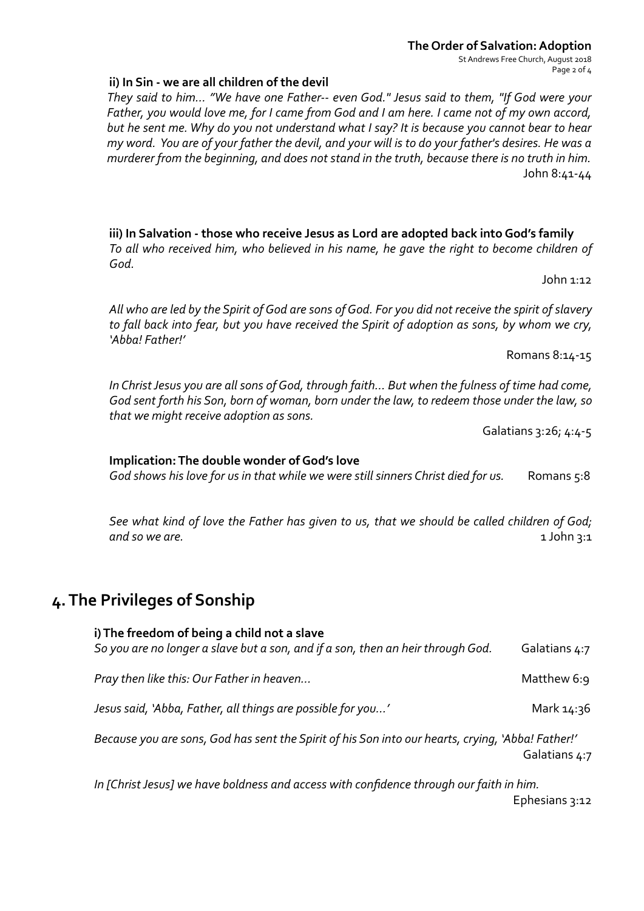#### **The Order of Salvation: Adoption** St Andrews Free Church, August 2018 Page 2 of 4

#### **ii)** In Sin - we are all children of the devil

They said to him... "We have one Father-- even God." Jesus said to them, "If God were your Father, you would love me, for I came from God and I am here. I came not of my own accord, *but he sent me. Why do you not understand what I say? It is because you cannot bear to hear my* word. You are of your father the devil, and your will is to do your father's desires. He was a *murderer from the beginning, and does not stand in the truth, because there is no truth in him.* John 8:41-44 

iii) In Salvation - those who receive Jesus as Lord are adopted back into God's family To all who received him, who believed in his name, he gave the right to become children of *God.* 

 $John 1:12$ 

All who are led by the Spirit of God are sons of God. For you did not receive the spirit of slavery to fall back into fear, but you have received the Spirit of adoption as sons, by whom we cry, *'Abba! Father!'* 

Romans 8:14-15

In Christ Jesus you are all sons of God, through faith... But when the fulness of time had come, God sent forth his Son, born of woman, born under the law, to redeem those under the law, so *that* we might receive adoption as sons.

Galatians 3:26; 4:4-5

#### **Implication: The double wonder of God's love**

God shows his love for us in that while we were still sinners Christ died for us. Romans 5:8

See what kind of love the Father has given to us, that we should be called children of God;  $and so we are.$ 

## **4.** The Privileges of Sonship

**i)** The freedom of being a child not a slave So you are no longer a slave but a son, and if a son, then an heir through God. Galatians  $4:7$ *Pray then like this: Our Father in heaven…* Matthew 6:9 *Jesus said, 'Abba, Father, all things are possible for you...'* Mark 14:36 Because you are sons, God has sent the Spirit of his Son into our hearts, crying, 'Abba! Father!' Galatians 4:7 In [Christ Jesus] we have boldness and access with confidence through our faith in him.

Ephesians 3:12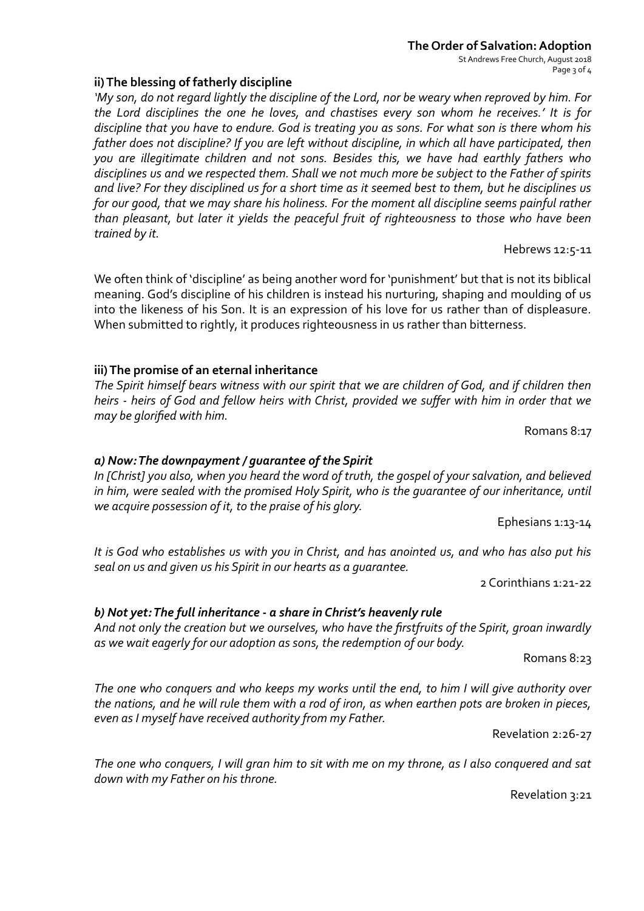#### **The Order of Salvation: Adoption** St Andrews Free Church, August 2018 Page 3 of 4

## **ii)** The blessing of fatherly discipline

'My son, do not regard lightly the discipline of the Lord, nor be weary when reproved by him. For *the Lord disciplines the one he loves, and chastises every son whom he receives.' It is for* discipline that you have to endure. God is treating you as sons. For what son is there whom his father does not discipline? If you are left without discipline, in which all have participated, then you are illegitimate children and not sons. Besides this, we have had earthly fathers who disciplines us and we respected them. Shall we not much more be subject to the Father of spirits and live? For they disciplined us for a short time as it seemed best to them, but he disciplines us *for* our good, that we may share his holiness. For the moment all discipline seems painful rather than pleasant, but later it yields the peaceful fruit of righteousness to those who have been trained by it.

We often think of 'discipline' as being another word for 'punishment' but that is not its biblical meaning. God's discipline of his children is instead his nurturing, shaping and moulding of us into the likeness of his Son. It is an expression of his love for us rather than of displeasure. When submitted to rightly, it produces righteousness in us rather than bitterness.

## **iii)** The promise of an eternal inheritance

The Spirit himself bears witness with our spirit that we are children of God, and if children then *heirs* - heirs of God and fellow heirs with Christ, provided we suffer with him in order that we *may be glorified with him.*

Romans 8:17

Hebrews 12:5-11

## *a) Now: The downpayment / guarantee of the Spirit*

In [Christ] you also, when you heard the word of truth, the gospel of your salvation, and believed *in him, were sealed with the promised Holy Spirit, who is the quarantee of our inheritance, until we acquire possession of it, to the praise of his glory.* 

Ephesians 1:13-14

It is God who establishes us with you in Christ, and has anointed us, and who has also put his seal on us and given us his Spirit in our hearts as a guarantee.

2 Corinthians 1:21-22 

## b) Not yet: The full inheritance - a share in Christ's heavenly rule

And not only the creation but we ourselves, who have the firstfruits of the Spirit, groan inwardly as we wait eagerly for our adoption as sons, the redemption of our body.

Romans 8:23

The one who conquers and who keeps my works until the end, to him I will give authority over the nations, and he will rule them with a rod of iron, as when earthen pots are broken in pieces, even as I myself have received authority from my Father.

Revelation 2:26-27 

The one who conquers, I will gran him to sit with me on my throne, as I also conquered and sat down with my Father on his throne.

Revelation 3:21